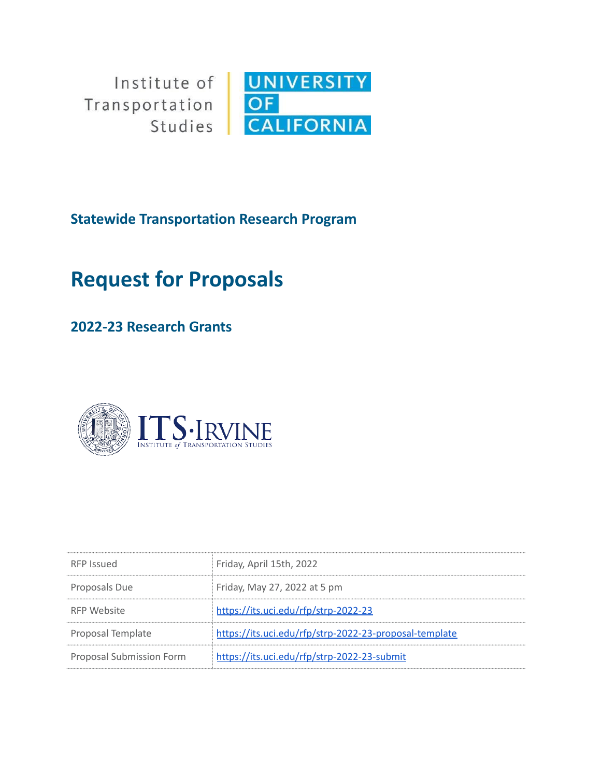Institute of Transportation Studies



**Statewide Transportation Research Program**

# **Request for Proposals**

# **2022-23 Research Grants**



| RFP Issued                      | Friday, April 15th, 2022                               |
|---------------------------------|--------------------------------------------------------|
| Proposals Due                   | Friday, May 27, 2022 at 5 pm                           |
| RFP Website                     | https://its.uci.edu/rfp/strp-2022-23                   |
| Proposal Template               | https://its.uci.edu/rfp/strp-2022-23-proposal-template |
| <b>Proposal Submission Form</b> | https://its.uci.edu/rfp/strp-2022-23-submit            |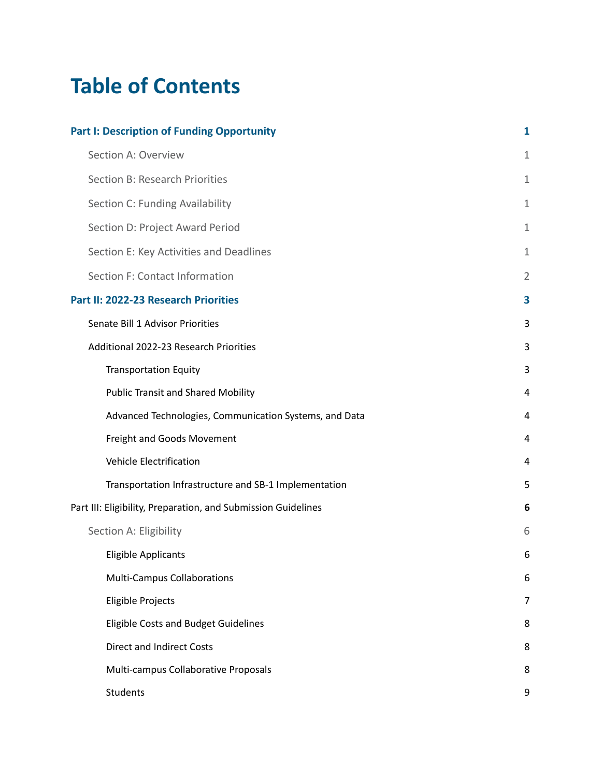# **Table of Contents**

| <b>Part I: Description of Funding Opportunity</b>             |                |
|---------------------------------------------------------------|----------------|
| Section A: Overview                                           | $\mathbf{1}$   |
| Section B: Research Priorities                                | $\mathbf{1}$   |
| Section C: Funding Availability                               | $\mathbf{1}$   |
| Section D: Project Award Period                               | 1              |
| Section E: Key Activities and Deadlines                       | 1              |
| Section F: Contact Information                                | $\overline{2}$ |
| Part II: 2022-23 Research Priorities                          | 3              |
| Senate Bill 1 Advisor Priorities                              | 3              |
| Additional 2022-23 Research Priorities                        | 3              |
| <b>Transportation Equity</b>                                  | 3              |
| <b>Public Transit and Shared Mobility</b>                     | 4              |
| Advanced Technologies, Communication Systems, and Data        | 4              |
| Freight and Goods Movement                                    | 4              |
| <b>Vehicle Electrification</b>                                | 4              |
| Transportation Infrastructure and SB-1 Implementation         | 5              |
| Part III: Eligibility, Preparation, and Submission Guidelines | 6              |
| Section A: Eligibility                                        | 6              |
| <b>Eligible Applicants</b>                                    | 6              |
| <b>Multi-Campus Collaborations</b>                            | 6              |
| Eligible Projects                                             | $\overline{7}$ |
| <b>Eligible Costs and Budget Guidelines</b>                   | 8              |
| <b>Direct and Indirect Costs</b>                              | 8              |
| Multi-campus Collaborative Proposals                          | 8              |
| Students                                                      | 9              |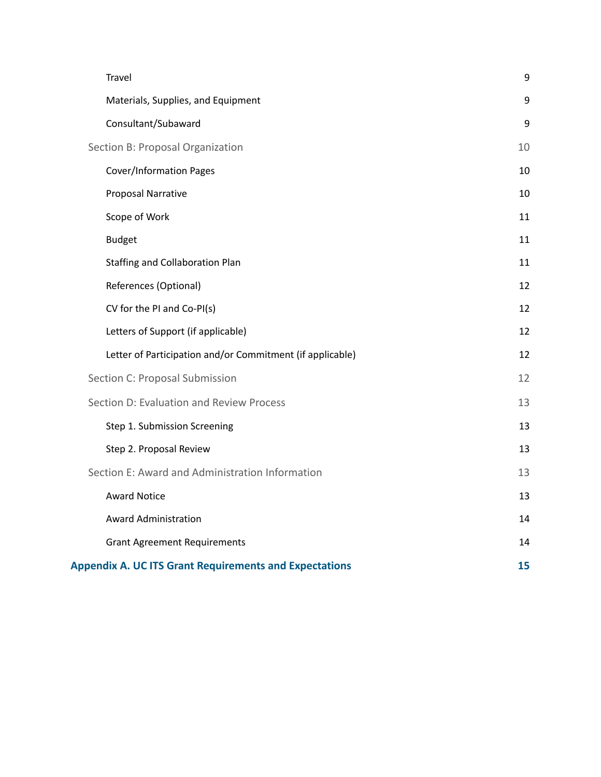| Travel                                                        | $\boldsymbol{9}$ |
|---------------------------------------------------------------|------------------|
| Materials, Supplies, and Equipment                            | 9                |
| Consultant/Subaward                                           | $\boldsymbol{9}$ |
| Section B: Proposal Organization                              | 10               |
| <b>Cover/Information Pages</b>                                | 10               |
| Proposal Narrative                                            | 10               |
| Scope of Work                                                 | 11               |
| <b>Budget</b>                                                 | 11               |
| <b>Staffing and Collaboration Plan</b>                        | 11               |
| References (Optional)                                         | 12               |
| CV for the PI and Co-PI(s)                                    | 12               |
| Letters of Support (if applicable)                            | 12               |
| Letter of Participation and/or Commitment (if applicable)     | 12               |
| Section C: Proposal Submission                                | 12               |
| Section D: Evaluation and Review Process                      | 13               |
| Step 1. Submission Screening                                  | 13               |
| Step 2. Proposal Review                                       | 13               |
| Section E: Award and Administration Information               | 13               |
| <b>Award Notice</b>                                           | 13               |
| <b>Award Administration</b>                                   | 14               |
| <b>Grant Agreement Requirements</b>                           | 14               |
| <b>Appendix A. UC ITS Grant Requirements and Expectations</b> | 15               |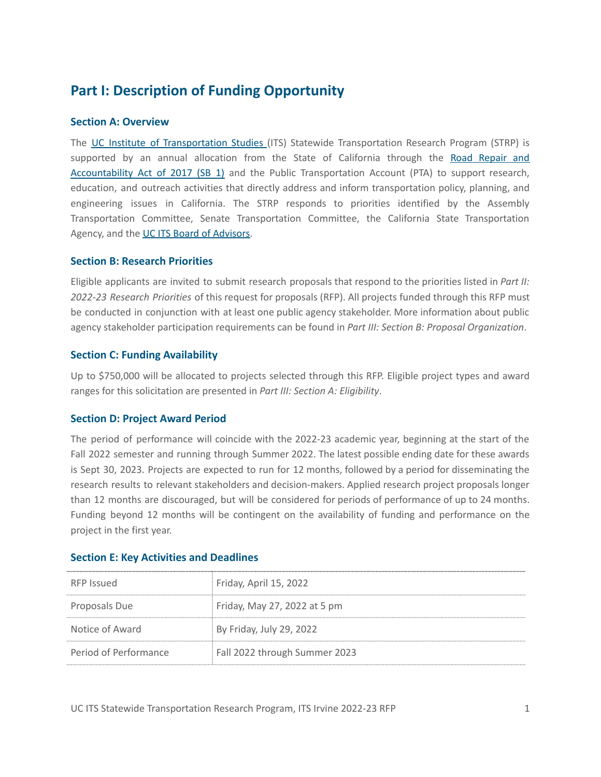# <span id="page-3-0"></span>**Part I: Description of Funding Opportunity**

### <span id="page-3-1"></span>**Section A: Overview**

The UC Institute of [Transportation](http://www.ucits.org/about/) Studies (ITS) Statewide Transportation Research Program (STRP) is supported by an annual allocation from the State of California through the Road [Repair](https://leginfo.legislature.ca.gov/faces/billNavClient.xhtml?bill_id=201720180SB1) and [Accountability](https://leginfo.legislature.ca.gov/faces/billNavClient.xhtml?bill_id=201720180SB1) Act of 2017 (SB 1) and the Public Transportation Account (PTA) to support research, education, and outreach activities that directly address and inform transportation policy, planning, and engineering issues in California. The STRP responds to priorities identified by the Assembly Transportation Committee, Senate Transportation Committee, the California State Transportation Agency, and the UC ITS Board of [Advisors.](https://www.ucits.org/board-of-advisors/)

### <span id="page-3-2"></span>**Section B: Research Priorities**

Eligible applicants are invited to submit research proposals that respond to the priorities listed in *Part II: 2022-23 Research Priorities* of this request for proposals (RFP). All projects funded through this RFP must be conducted in conjunction with at least one public agency stakeholder. More information about public agency stakeholder participation requirements can be found in *Part III: Section B: Proposal Organization*.

### <span id="page-3-3"></span>**Section C: Funding Availability**

Up to \$750,000 will be allocated to projects selected through this RFP. Eligible project types and award ranges for this solicitation are presented in *Part III: Section A: Eligibility*.

# <span id="page-3-4"></span>**Section D: Project Award Period**

The period of performance will coincide with the 2022-23 academic year, beginning at the start of the Fall 2022 semester and running through Summer 2022. The latest possible ending date for these awards is Sept 30, 2023. Projects are expected to run for 12 months, followed by a period for disseminating the research results to relevant stakeholders and decision-makers. Applied research project proposals longer than 12 months are discouraged, but will be considered for periods of performance of up to 24 months. Funding beyond 12 months will be contingent on the availability of funding and performance on the project in the first year.

| RFP Issued            | Friday, April 15, 2022        |
|-----------------------|-------------------------------|
| Proposals Due         | Friday, May 27, 2022 at 5 pm  |
| Notice of Award       | By Friday, July 29, 2022      |
| Period of Performance | Fall 2022 through Summer 2023 |

#### <span id="page-3-5"></span>**Section E: Key Activities and Deadlines**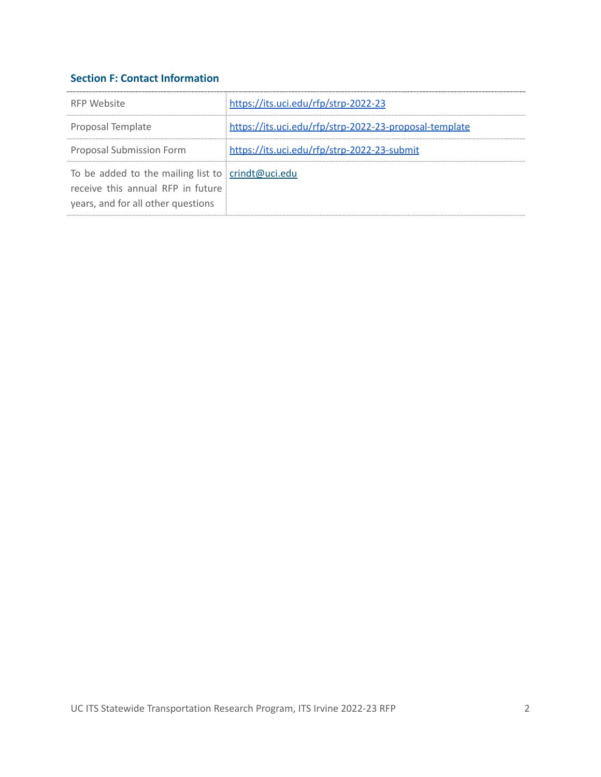# <span id="page-4-0"></span>**Section F: Contact Information**

| RFP Website                                                                                                                  | https://its.uci.edu/rfp/strp-2022-23                   |
|------------------------------------------------------------------------------------------------------------------------------|--------------------------------------------------------|
| Proposal Template                                                                                                            | https://its.uci.edu/rfp/strp-2022-23-proposal-template |
| <b>Proposal Submission Form</b>                                                                                              | https://its.uci.edu/rfp/strp-2022-23-submit            |
| To be added to the mailing list to crindt@uci.edu<br>receive this annual RFP in future<br>years, and for all other questions |                                                        |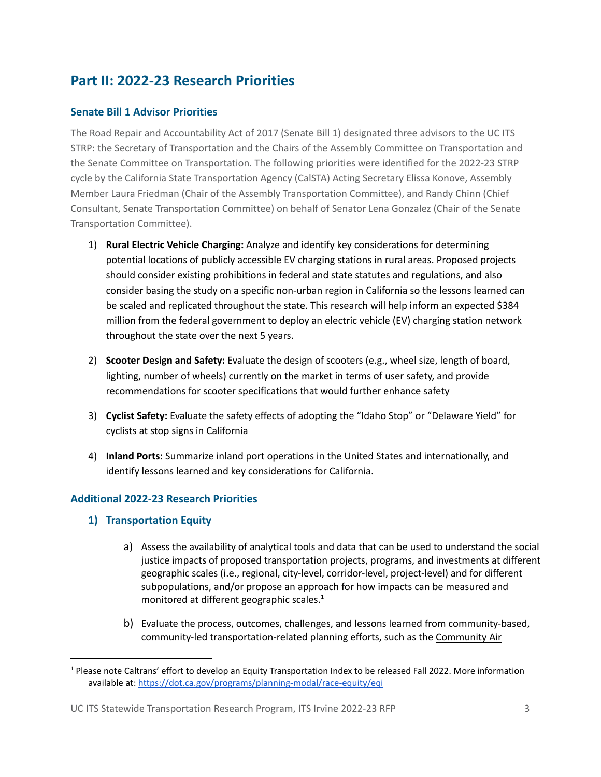# <span id="page-5-0"></span>**Part II: 2022-23 Research Priorities**

# <span id="page-5-1"></span>**Senate Bill 1 Advisor Priorities**

The Road Repair and Accountability Act of 2017 (Senate Bill 1) designated three advisors to the UC ITS STRP: the Secretary of Transportation and the Chairs of the Assembly Committee on Transportation and the Senate Committee on Transportation. The following priorities were identified for the 2022-23 STRP cycle by the California State Transportation Agency (CalSTA) Acting Secretary Elissa Konove, Assembly Member Laura Friedman (Chair of the Assembly Transportation Committee), and Randy Chinn (Chief Consultant, Senate Transportation Committee) on behalf of Senator Lena Gonzalez (Chair of the Senate Transportation Committee).

- 1) **Rural Electric Vehicle Charging:** Analyze and identify key considerations for determining potential locations of publicly accessible EV charging stations in rural areas. Proposed projects should consider existing prohibitions in federal and state statutes and regulations, and also consider basing the study on a specific non-urban region in California so the lessons learned can be scaled and replicated throughout the state. This research will help inform an expected \$384 million from the federal government to deploy an electric vehicle (EV) charging station network throughout the state over the next 5 years.
- 2) **Scooter Design and Safety:** Evaluate the design of scooters (e.g., wheel size, length of board, lighting, number of wheels) currently on the market in terms of user safety, and provide recommendations for scooter specifications that would further enhance safety
- 3) **Cyclist Safety:** Evaluate the safety effects of adopting the "Idaho Stop" or "Delaware Yield" for cyclists at stop signs in California
- 4) **Inland Ports:** Summarize inland port operations in the United States and internationally, and identify lessons learned and key considerations for California.

# <span id="page-5-2"></span>**Additional 2022-23 Research Priorities**

- <span id="page-5-3"></span>**1) Transportation Equity**
	- a) Assess the availability of analytical tools and data that can be used to understand the social justice impacts of proposed transportation projects, programs, and investments at different geographic scales (i.e., regional, city-level, corridor-level, project-level) and for different subpopulations, and/or propose an approach for how impacts can be measured and monitored at different geographic scales. 1
	- b) Evaluate the process, outcomes, challenges, and lessons learned from community-based, community-led transportation-related planning efforts, such as the [Community](https://ww2.arb.ca.gov/capp) Air

<sup>&</sup>lt;sup>1</sup> Please note Caltrans' effort to develop an Equity Transportation Index to be released Fall 2022. More information available at: <https://dot.ca.gov/programs/planning-modal/race-equity/eqi>

UC ITS Statewide Transportation Research Program, ITS Irvine 2022-23 RFP 3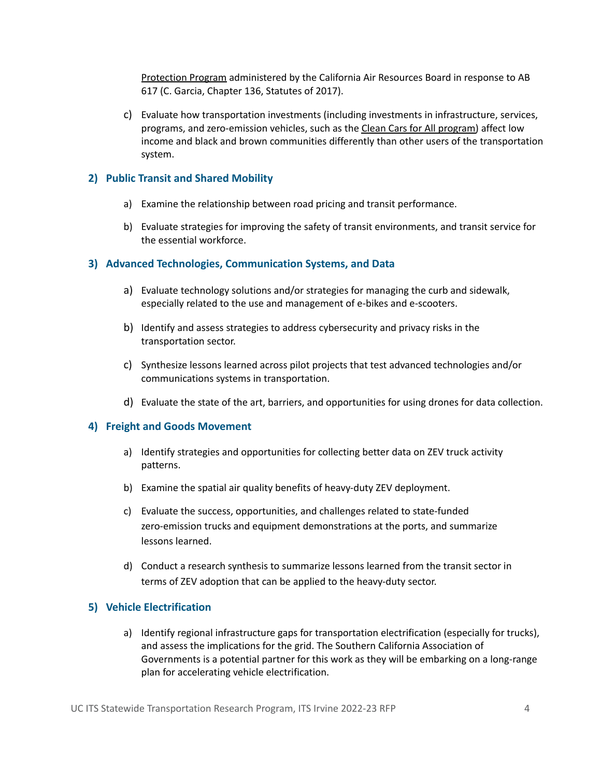[Protection](https://ww2.arb.ca.gov/capp) Program administered by the California Air Resources Board in response to AB 617 (C. Garcia, Chapter 136, Statutes of 2017).

c) Evaluate how transportation investments (including investments in infrastructure, services, programs, and zero-emission vehicles, such as the Clean Cars for All [program\)](https://ww2.arb.ca.gov/our-work/programs/clean-cars-4-all) affect low income and black and brown communities differently than other users of the transportation system.

## <span id="page-6-0"></span>**2) Public Transit and Shared Mobility**

- a) Examine the relationship between road pricing and transit performance.
- b) Evaluate strategies for improving the safety of transit environments, and transit service for the essential workforce.

### <span id="page-6-1"></span>**3) Advanced Technologies, Communication Systems, and Data**

- a) Evaluate technology solutions and/or strategies for managing the curb and sidewalk, especially related to the use and management of e-bikes and e-scooters.
- b) Identify and assess strategies to address cybersecurity and privacy risks in the transportation sector.
- c) Synthesize lessons learned across pilot projects that test advanced technologies and/or communications systems in transportation.
- d) Evaluate the state of the art, barriers, and opportunities for using drones for data collection.

#### <span id="page-6-2"></span>**4) Freight and Goods Movement**

- a) Identify strategies and opportunities for collecting better data on ZEV truck activity patterns.
- b) Examine the spatial air quality benefits of heavy-duty ZEV deployment.
- c) Evaluate the success, opportunities, and challenges related to state-funded zero-emission trucks and equipment demonstrations at the ports, and summarize lessons learned.
- d) Conduct a research synthesis to summarize lessons learned from the transit sector in terms of ZEV adoption that can be applied to the heavy-duty sector.

#### <span id="page-6-3"></span>**5) Vehicle Electrification**

a) Identify regional infrastructure gaps for transportation electrification (especially for trucks), and assess the implications for the grid. The Southern California Association of Governments is a potential partner for this work as they will be embarking on a long-range plan for accelerating vehicle electrification.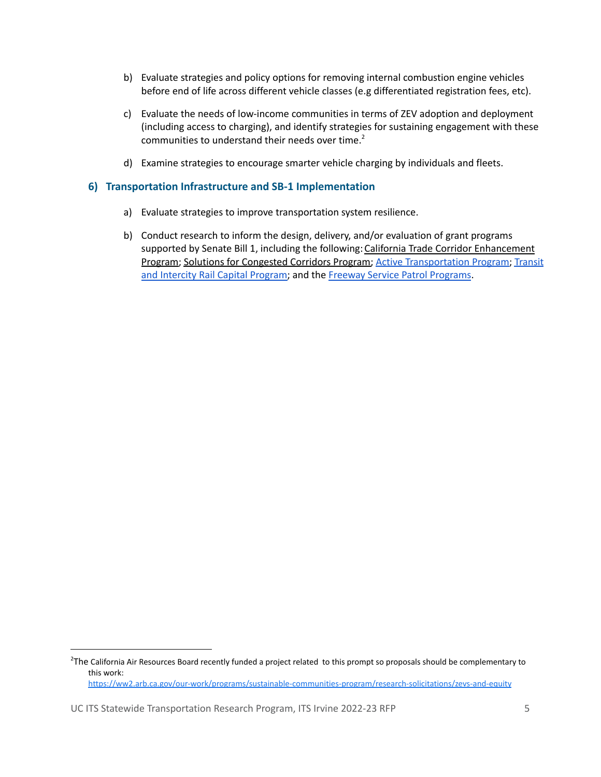- b) Evaluate strategies and policy options for removing internal combustion engine vehicles before end of life across different vehicle classes (e.g differentiated registration fees, etc).
- c) Evaluate the needs of low-income communities in terms of ZEV adoption and deployment (including access to charging), and identify strategies for sustaining engagement with these communities to understand their needs over time. 2
- d) Examine strategies to encourage smarter vehicle charging by individuals and fleets.

#### <span id="page-7-0"></span>**6) Transportation Infrastructure and SB-1 Implementation**

- a) Evaluate strategies to improve transportation system resilience.
- b) Conduct research to inform the design, delivery, and/or evaluation of grant programs supported by Senate Bill 1, including the following: California Trade Corridor [Enhancement](https://catc.ca.gov/programs/sb1/trade-corridor-enhancement-program) [Program;](https://catc.ca.gov/programs/sb1/trade-corridor-enhancement-program) Solutions for [Congested](https://catc.ca.gov/programs/sb1/solutions-for-congested-corridors-program) Corridors Program; Active [Transportation](https://catc.ca.gov/programs/active-transportation-program) Program; [Transit](https://catc.ca.gov/programs/transit-intercity-rail-capital-program) and Intercity Rail Capital [Program;](https://catc.ca.gov/programs/transit-intercity-rail-capital-program) and the Freeway Service Patrol [Programs](https://www.chp.ca.gov/programs-services/services-information/freeway-service-patrol).

<sup>&</sup>lt;sup>2</sup>The California Air Resources Board recently funded a project related to this prompt so proposals should be complementary to this work: <https://ww2.arb.ca.gov/our-work/programs/sustainable-communities-program/research-solicitations/zevs-and-equity>

UC ITS Statewide Transportation Research Program, ITS Irvine 2022-23 RFP 5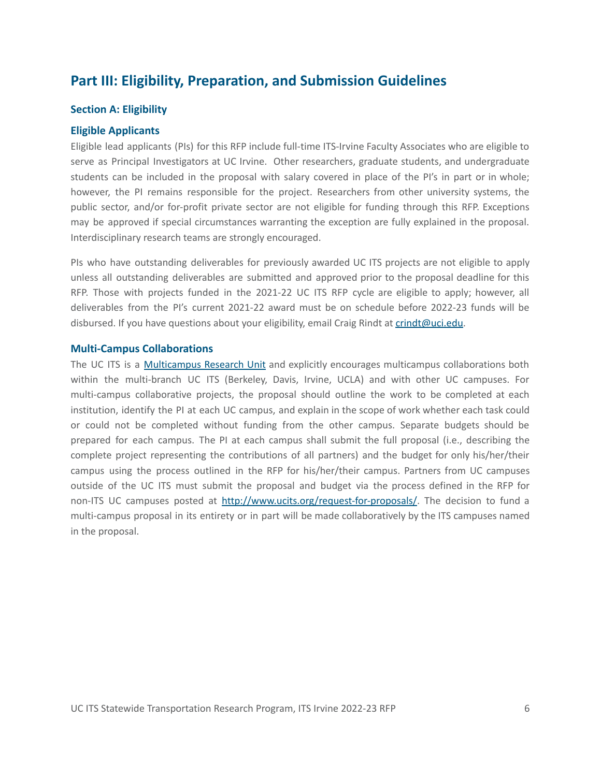# <span id="page-8-0"></span>**Part III: Eligibility, Preparation, and Submission Guidelines**

#### <span id="page-8-1"></span>**Section A: Eligibility**

#### <span id="page-8-2"></span>**Eligible Applicants**

Eligible lead applicants (PIs) for this RFP include full-time ITS-Irvine Faculty Associates who are eligible to serve as Principal Investigators at UC Irvine. Other researchers, graduate students, and undergraduate students can be included in the proposal with salary covered in place of the PI's in part or in whole; however, the PI remains responsible for the project. Researchers from other university systems, the public sector, and/or for-profit private sector are not eligible for funding through this RFP. Exceptions may be approved if special circumstances warranting the exception are fully explained in the proposal. Interdisciplinary research teams are strongly encouraged.

PIs who have outstanding deliverables for previously awarded UC ITS projects are not eligible to apply unless all outstanding deliverables are submitted and approved prior to the proposal deadline for this RFP. Those with projects funded in the 2021-22 UC ITS RFP cycle are eligible to apply; however, all deliverables from the PI's current 2021-22 award must be on schedule before 2022-23 funds will be disbursed. If you have questions about your eligibility, email Craig Rindt at [crindt@uci.edu](mailto:crindt@uci.edu).

#### <span id="page-8-3"></span>**Multi-Campus Collaborations**

The UC ITS is a [Multicampus](https://www.ucop.edu/research-innovation/programs-and-initiatives/state-and-systemwide-research/multicampus-research-units.html) Research Unit and explicitly encourages multicampus collaborations both within the multi-branch UC ITS (Berkeley, Davis, Irvine, UCLA) and with other UC campuses. For multi-campus collaborative projects, the proposal should outline the work to be completed at each institution, identify the PI at each UC campus, and explain in the scope of work whether each task could or could not be completed without funding from the other campus. Separate budgets should be prepared for each campus. The PI at each campus shall submit the full proposal (i.e., describing the complete project representing the contributions of all partners) and the budget for only his/her/their campus using the process outlined in the RFP for his/her/their campus. Partners from UC campuses outside of the UC ITS must submit the proposal and budget via the process defined in the RFP for non-ITS UC campuses posted at <http://www.ucits.org/request-for-proposals/>. The decision to fund a multi-campus proposal in its entirety or in part will be made collaboratively by the ITS campuses named in the proposal.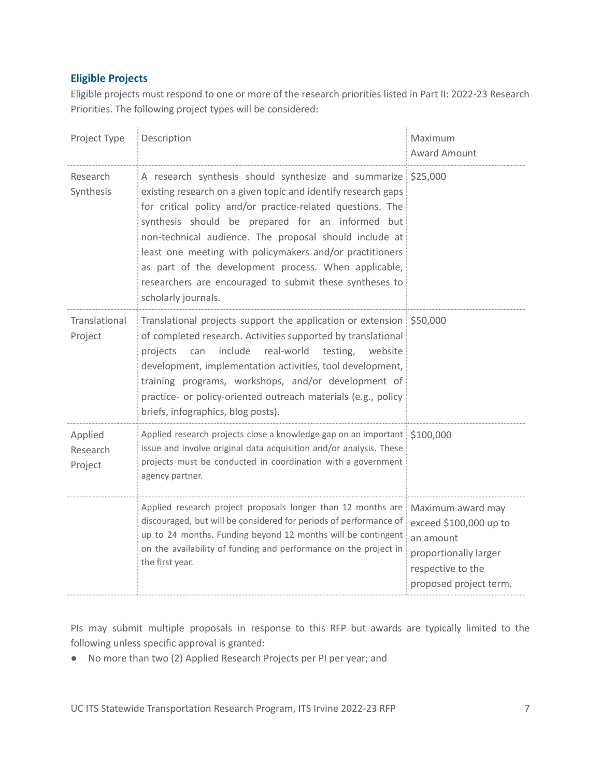# <span id="page-9-0"></span>**Eligible Projects**

Eligible projects must respond to one or more of the research priorities listed in Part II: 2022-23 Research Priorities. The following project types will be considered:

| Project Type                   | Description                                                                                                                                                                                                                                                                                                                                                                                                                                                                                                      | Maximum<br>Award Amount                                                                                     |
|--------------------------------|------------------------------------------------------------------------------------------------------------------------------------------------------------------------------------------------------------------------------------------------------------------------------------------------------------------------------------------------------------------------------------------------------------------------------------------------------------------------------------------------------------------|-------------------------------------------------------------------------------------------------------------|
| Research<br>Synthesis          | A research synthesis should synthesize and summarize \$25,000<br>existing research on a given topic and identify research gaps<br>for critical policy and/or practice-related questions. The<br>synthesis should be prepared for an informed but<br>non-technical audience. The proposal should include at<br>least one meeting with policymakers and/or practitioners<br>as part of the development process. When applicable,<br>researchers are encouraged to submit these syntheses to<br>scholarly journals. |                                                                                                             |
| Translational<br>Project       | Translational projects support the application or extension \$50,000<br>of completed research. Activities supported by translational<br>include<br>real-world testing, website<br>can<br>projects<br>development, implementation activities, tool development,<br>training programs, workshops, and/or development of<br>practice- or policy-oriented outreach materials (e.g., policy<br>briefs, infographics, blog posts).                                                                                     |                                                                                                             |
| Applied<br>Research<br>Project | Applied research projects close a knowledge gap on an important \$100,000<br>issue and involve original data acquisition and/or analysis. These<br>projects must be conducted in coordination with a government<br>agency partner.                                                                                                                                                                                                                                                                               |                                                                                                             |
|                                | Applied research project proposals longer than 12 months are Maximum award may<br>discouraged, but will be considered for periods of performance of<br>up to 24 months. Funding beyond 12 months will be contingent<br>on the availability of funding and performance on the project in<br>the first year.                                                                                                                                                                                                       | exceed \$100,000 up to<br>an amount<br>proportionally larger<br>respective to the<br>proposed project term. |

PIs may submit multiple proposals in response to this RFP but awards are typically limited to the following unless specific approval is granted:

● No more than two (2) Applied Research Projects per PI per year; and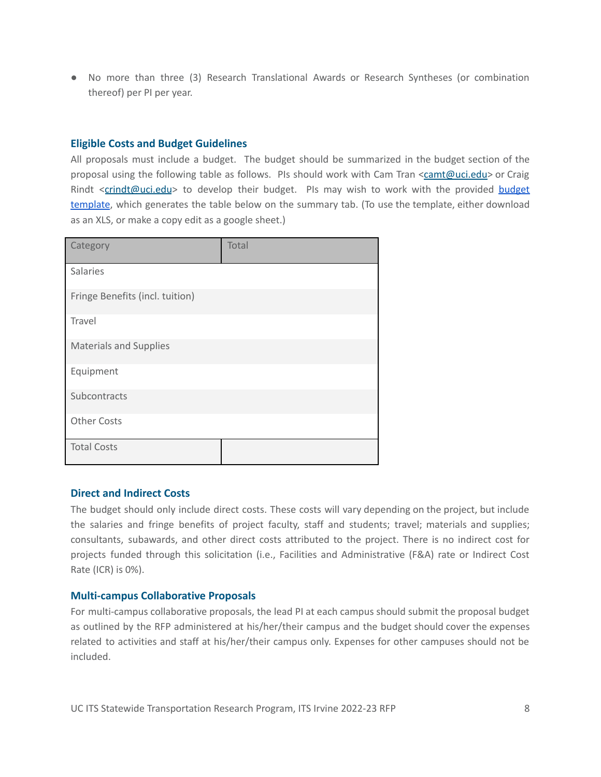● No more than three (3) Research Translational Awards or Research Syntheses (or combination thereof) per PI per year.

#### <span id="page-10-0"></span>**Eligible Costs and Budget Guidelines**

All proposals must include a budget. The budget should be summarized in the budget section of the proposal using the following table as follows. PIs should work with Cam Tran [<camt@uci.edu>](mailto:camt@uci.edu) or Craig Rindt <[crindt@uci.edu](mailto:crindt@uci.edu)> to develop their [budget](http://www.its.uci.edu/rfp/strp-2022-23-budget-template). PIs may wish to work with the provided budget [template](http://www.its.uci.edu/rfp/strp-2022-23-budget-template), which generates the table below on the summary tab. (To use the template, either download as an XLS, or make a copy edit as a google sheet.)

| Category                        | Total |
|---------------------------------|-------|
| Salaries                        |       |
| Fringe Benefits (incl. tuition) |       |
| Travel                          |       |
| <b>Materials and Supplies</b>   |       |
| Equipment                       |       |
| Subcontracts                    |       |
| <b>Other Costs</b>              |       |
| <b>Total Costs</b>              |       |

# <span id="page-10-1"></span>**Direct and Indirect Costs**

The budget should only include direct costs. These costs will vary depending on the project, but include the salaries and fringe benefits of project faculty, staff and students; travel; materials and supplies; consultants, subawards, and other direct costs attributed to the project. There is no indirect cost for projects funded through this solicitation (i.e., Facilities and Administrative (F&A) rate or Indirect Cost Rate (ICR) is 0%).

#### <span id="page-10-2"></span>**Multi-campus Collaborative Proposals**

For multi-campus collaborative proposals, the lead PI at each campus should submit the proposal budget as outlined by the RFP administered at his/her/their campus and the budget should cover the expenses related to activities and staff at his/her/their campus only. Expenses for other campuses should not be included.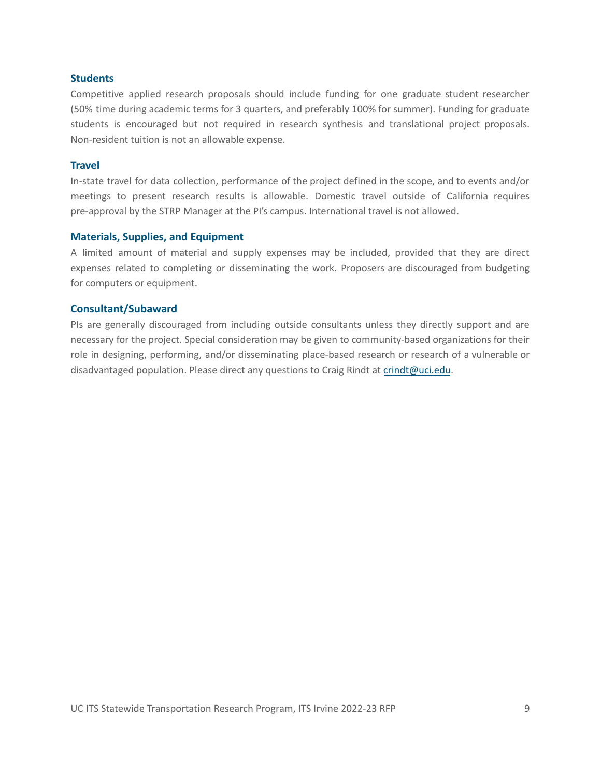#### <span id="page-11-0"></span>**Students**

Competitive applied research proposals should include funding for one graduate student researcher (50% time during academic terms for 3 quarters, and preferably 100% for summer). Funding for graduate students is encouraged but not required in research synthesis and translational project proposals. Non-resident tuition is not an allowable expense.

#### <span id="page-11-1"></span>**Travel**

In-state travel for data collection, performance of the project defined in the scope, and to events and/or meetings to present research results is allowable. Domestic travel outside of California requires pre-approval by the STRP Manager at the PI's campus. International travel is not allowed.

#### <span id="page-11-2"></span>**Materials, Supplies, and Equipment**

A limited amount of material and supply expenses may be included, provided that they are direct expenses related to completing or disseminating the work. Proposers are discouraged from budgeting for computers or equipment.

#### <span id="page-11-3"></span>**Consultant/Subaward**

PIs are generally discouraged from including outside consultants unless they directly support and are necessary for the project. Special consideration may be given to community-based organizations for their role in designing, performing, and/or disseminating place-based research or research of a vulnerable or disadvantaged population. Please direct any questions to Craig Rindt at [crindt@uci.edu](mailto:crindt@uci.edu).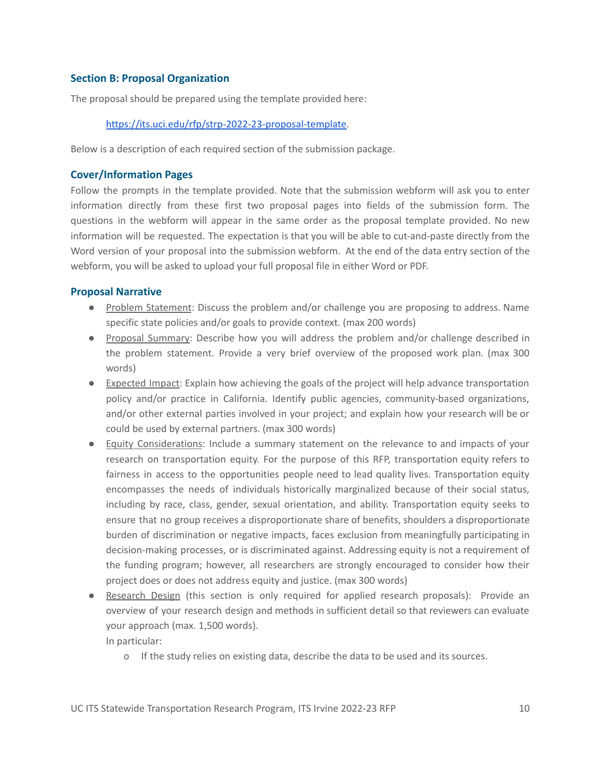# <span id="page-12-0"></span>**Section B: Proposal Organization**

The proposal should be prepared using the template provided here:

# <https://its.uci.edu/rfp/strp-2022-23-proposal-template>.

Below is a description of each required section of the submission package.

# <span id="page-12-1"></span>**Cover/Information Pages**

Follow the prompts in the template provided. Note that the submission webform will ask you to enter information directly from these first two proposal pages into fields of the submission form. The questions in the webform will appear in the same order as the proposal template provided. No new information will be requested. The expectation is that you will be able to cut-and-paste directly from the Word version of your proposal into the submission webform. At the end of the data entry section of the webform, you will be asked to upload your full proposal file in either Word or PDF.

# <span id="page-12-2"></span>**Proposal Narrative**

- Problem Statement: Discuss the problem and/or challenge you are proposing to address. Name specific state policies and/or goals to provide context. (max 200 words)
- Proposal Summary: Describe how you will address the problem and/or challenge described in the problem statement. Provide a very brief overview of the proposed work plan. (max 300 words)
- Expected Impact: Explain how achieving the goals of the project will help advance transportation policy and/or practice in California. Identify public agencies, community-based organizations, and/or other external parties involved in your project; and explain how your research will be or could be used by external partners. (max 300 words)
- Equity Considerations: Include a summary statement on the relevance to and impacts of your research on transportation equity. For the purpose of this RFP, transportation equity refers to fairness in access to the opportunities people need to lead quality lives. Transportation equity encompasses the needs of individuals historically marginalized because of their social status, including by race, class, gender, sexual orientation, and ability. Transportation equity seeks to ensure that no group receives a disproportionate share of benefits, shoulders a disproportionate burden of discrimination or negative impacts, faces exclusion from meaningfully participating in decision-making processes, or is discriminated against. Addressing equity is not a requirement of the funding program; however, all researchers are strongly encouraged to consider how their project does or does not address equity and justice. (max 300 words)
- Research Design (this section is only required for applied research proposals): Provide an overview of your research design and methods in sufficient detail so that reviewers can evaluate your approach (max. 1,500 words). In particular:
	- o If the study relies on existing data, describe the data to be used and its sources.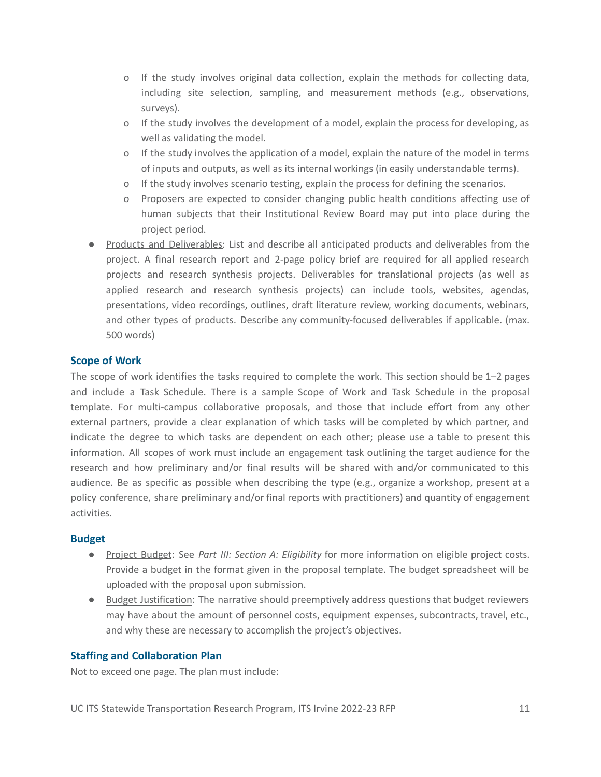- o If the study involves original data collection, explain the methods for collecting data, including site selection, sampling, and measurement methods (e.g., observations, surveys).
- o If the study involves the development of a model, explain the process for developing, as well as validating the model.
- o If the study involves the application of a model, explain the nature of the model in terms of inputs and outputs, as well as its internal workings (in easily understandable terms).
- o If the study involves scenario testing, explain the process for defining the scenarios.
- o Proposers are expected to consider changing public health conditions affecting use of human subjects that their Institutional Review Board may put into place during the project period.
- Products and Deliverables: List and describe all anticipated products and deliverables from the project. A final research report and 2-page policy brief are required for all applied research projects and research synthesis projects. Deliverables for translational projects (as well as applied research and research synthesis projects) can include tools, websites, agendas, presentations, video recordings, outlines, draft literature review, working documents, webinars, and other types of products. Describe any community-focused deliverables if applicable. (max. 500 words)

# <span id="page-13-0"></span>**Scope of Work**

The scope of work identifies the tasks required to complete the work. This section should be 1–2 pages and include a Task Schedule. There is a sample Scope of Work and Task Schedule in the proposal template. For multi-campus collaborative proposals, and those that include effort from any other external partners, provide a clear explanation of which tasks will be completed by which partner, and indicate the degree to which tasks are dependent on each other; please use a table to present this information. All scopes of work must include an engagement task outlining the target audience for the research and how preliminary and/or final results will be shared with and/or communicated to this audience. Be as specific as possible when describing the type (e.g., organize a workshop, present at a policy conference, share preliminary and/or final reports with practitioners) and quantity of engagement activities.

#### <span id="page-13-1"></span>**Budget**

- Project Budget: See *Part III: Section A: Eligibility* for more information on eligible project costs. Provide a budget in the format given in the proposal template. The budget spreadsheet will be uploaded with the proposal upon submission.
- Budget Justification: The narrative should preemptively address questions that budget reviewers may have about the amount of personnel costs, equipment expenses, subcontracts, travel, etc., and why these are necessary to accomplish the project's objectives.

#### <span id="page-13-2"></span>**Staffing and Collaboration Plan**

Not to exceed one page. The plan must include: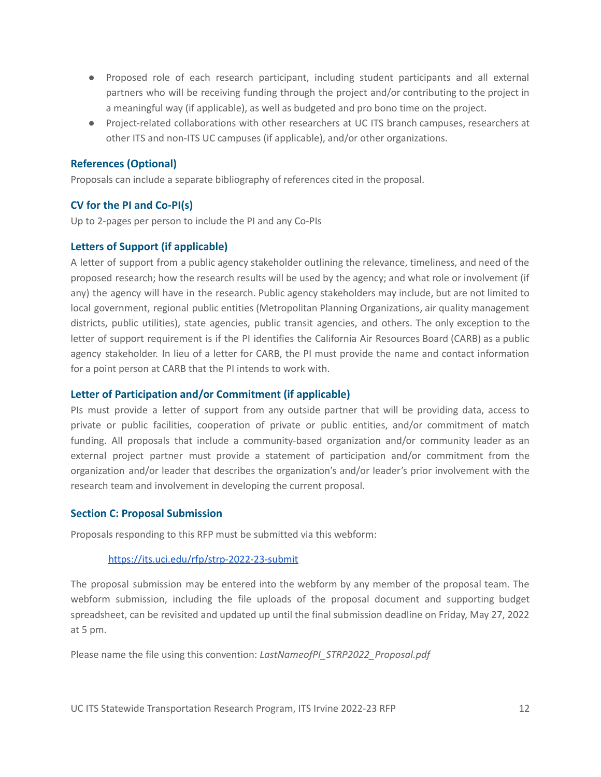- Proposed role of each research participant, including student participants and all external partners who will be receiving funding through the project and/or contributing to the project in a meaningful way (if applicable), as well as budgeted and pro bono time on the project.
- Project-related collaborations with other researchers at UC ITS branch campuses, researchers at other ITS and non-ITS UC campuses (if applicable), and/or other organizations.

# <span id="page-14-0"></span>**References (Optional)**

Proposals can include a separate bibliography of references cited in the proposal.

# <span id="page-14-1"></span>**CV for the PI and Co-PI(s)**

Up to 2-pages per person to include the PI and any Co-PIs

# <span id="page-14-2"></span>**Letters of Support (if applicable)**

A letter of support from a public agency stakeholder outlining the relevance, timeliness, and need of the proposed research; how the research results will be used by the agency; and what role or involvement (if any) the agency will have in the research. Public agency stakeholders may include, but are not limited to local government, regional public entities (Metropolitan Planning Organizations, air quality management districts, public utilities), state agencies, public transit agencies, and others. The only exception to the letter of support requirement is if the PI identifies the California Air Resources Board (CARB) as a public agency stakeholder. In lieu of a letter for CARB, the PI must provide the name and contact information for a point person at CARB that the PI intends to work with.

# <span id="page-14-3"></span>**Letter of Participation and/or Commitment (if applicable)**

PIs must provide a letter of support from any outside partner that will be providing data, access to private or public facilities, cooperation of private or public entities, and/or commitment of match funding. All proposals that include a community-based organization and/or community leader as an external project partner must provide a statement of participation and/or commitment from the organization and/or leader that describes the organization's and/or leader's prior involvement with the research team and involvement in developing the current proposal.

# <span id="page-14-4"></span>**Section C: Proposal Submission**

Proposals responding to this RFP must be submitted via this webform:

#### <https://its.uci.edu/rfp/strp-2022-23-submit>

The proposal submission may be entered into the webform by any member of the proposal team. The webform submission, including the file uploads of the proposal document and supporting budget spreadsheet, can be revisited and updated up until the final submission deadline on Friday, May 27, 2022 at 5 pm.

Please name the file using this convention: *LastNameofPI\_STRP2022\_Proposal.pdf*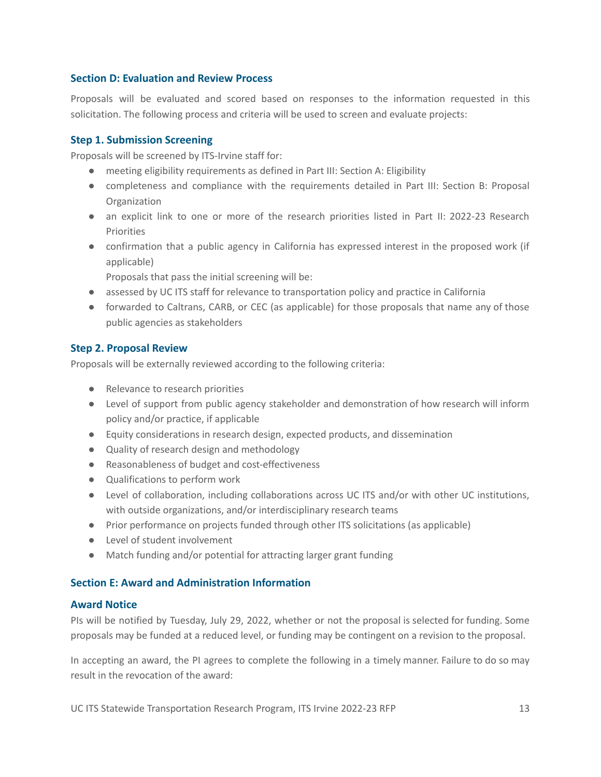## <span id="page-15-0"></span>**Section D: Evaluation and Review Process**

Proposals will be evaluated and scored based on responses to the information requested in this solicitation. The following process and criteria will be used to screen and evaluate projects:

#### <span id="page-15-1"></span>**Step 1. Submission Screening**

Proposals will be screened by ITS-Irvine staff for:

- meeting eligibility requirements as defined in Part III: Section A: Eligibility
- completeness and compliance with the requirements detailed in Part III: Section B: Proposal **Organization**
- an explicit link to one or more of the research priorities listed in Part II: 2022-23 Research **Priorities**
- confirmation that a public agency in California has expressed interest in the proposed work (if applicable)

Proposals that pass the initial screening will be:

- assessed by UC ITS staff for relevance to transportation policy and practice in California
- forwarded to Caltrans, CARB, or CEC (as applicable) for those proposals that name any of those public agencies as stakeholders

### <span id="page-15-2"></span>**Step 2. Proposal Review**

Proposals will be externally reviewed according to the following criteria:

- Relevance to research priorities
- Level of support from public agency stakeholder and demonstration of how research will inform policy and/or practice, if applicable
- Equity considerations in research design, expected products, and dissemination
- Quality of research design and methodology
- Reasonableness of budget and cost-effectiveness
- Qualifications to perform work
- Level of collaboration, including collaborations across UC ITS and/or with other UC institutions, with outside organizations, and/or interdisciplinary research teams
- Prior performance on projects funded through other ITS solicitations (as applicable)
- Level of student involvement
- Match funding and/or potential for attracting larger grant funding

# <span id="page-15-3"></span>**Section E: Award and Administration Information**

#### <span id="page-15-4"></span>**Award Notice**

PIs will be notified by Tuesday, July 29, 2022, whether or not the proposal is selected for funding. Some proposals may be funded at a reduced level, or funding may be contingent on a revision to the proposal.

In accepting an award, the PI agrees to complete the following in a timely manner. Failure to do so may result in the revocation of the award: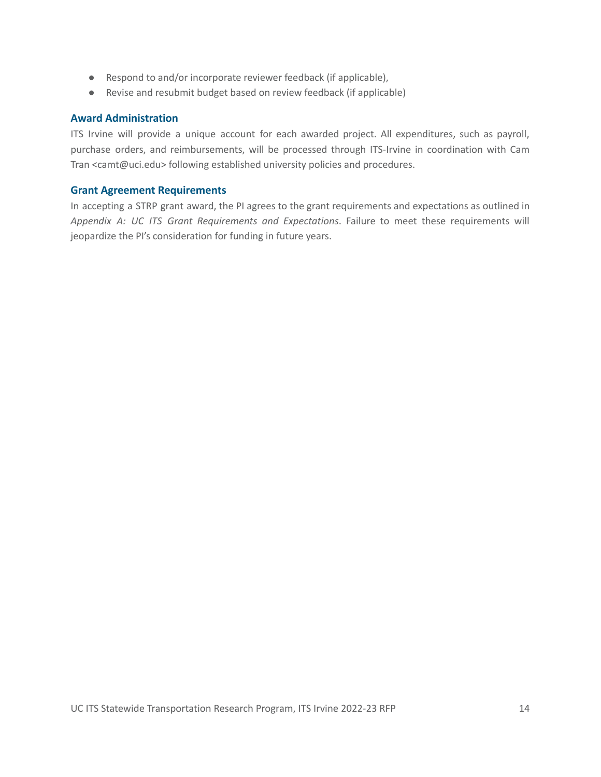- Respond to and/or incorporate reviewer feedback (if applicable),
- Revise and resubmit budget based on review feedback (if applicable)

#### <span id="page-16-0"></span>**Award Administration**

ITS Irvine will provide a unique account for each awarded project. All expenditures, such as payroll, purchase orders, and reimbursements, will be processed through ITS-Irvine in coordination with Cam Tran <camt@uci.edu> following established university policies and procedures.

#### <span id="page-16-1"></span>**Grant Agreement Requirements**

In accepting a STRP grant award, the PI agrees to the grant requirements and expectations as outlined in *Appendix A: UC ITS Grant Requirements and Expectations*. Failure to meet these requirements will jeopardize the PI's consideration for funding in future years.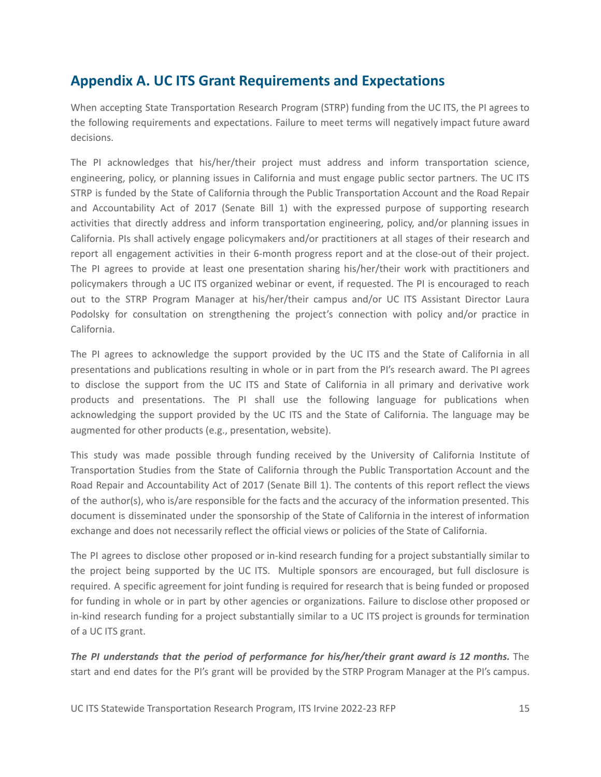# <span id="page-17-0"></span>**Appendix A. UC ITS Grant Requirements and Expectations**

When accepting State Transportation Research Program (STRP) funding from the UC ITS, the PI agrees to the following requirements and expectations. Failure to meet terms will negatively impact future award decisions.

The PI acknowledges that his/her/their project must address and inform transportation science, engineering, policy, or planning issues in California and must engage public sector partners. The UC ITS STRP is funded by the State of California through the Public Transportation Account and the Road Repair and Accountability Act of 2017 (Senate Bill 1) with the expressed purpose of supporting research activities that directly address and inform transportation engineering, policy, and/or planning issues in California. PIs shall actively engage policymakers and/or practitioners at all stages of their research and report all engagement activities in their 6-month progress report and at the close-out of their project. The PI agrees to provide at least one presentation sharing his/her/their work with practitioners and policymakers through a UC ITS organized webinar or event, if requested. The PI is encouraged to reach out to the STRP Program Manager at his/her/their campus and/or UC ITS Assistant Director Laura Podolsky for consultation on strengthening the project's connection with policy and/or practice in California.

The PI agrees to acknowledge the support provided by the UC ITS and the State of California in all presentations and publications resulting in whole or in part from the PI's research award. The PI agrees to disclose the support from the UC ITS and State of California in all primary and derivative work products and presentations. The PI shall use the following language for publications when acknowledging the support provided by the UC ITS and the State of California. The language may be augmented for other products (e.g., presentation, website).

This study was made possible through funding received by the University of California Institute of Transportation Studies from the State of California through the Public Transportation Account and the Road Repair and Accountability Act of 2017 (Senate Bill 1). The contents of this report reflect the views of the author(s), who is/are responsible for the facts and the accuracy of the information presented. This document is disseminated under the sponsorship of the State of California in the interest of information exchange and does not necessarily reflect the official views or policies of the State of California.

The PI agrees to disclose other proposed or in-kind research funding for a project substantially similar to the project being supported by the UC ITS. Multiple sponsors are encouraged, but full disclosure is required. A specific agreement for joint funding is required for research that is being funded or proposed for funding in whole or in part by other agencies or organizations. Failure to disclose other proposed or in-kind research funding for a project substantially similar to a UC ITS project is grounds for termination of a UC ITS grant.

*The PI understands that the period of performance for his/her/their grant award is 12 months.* The start and end dates for the PI's grant will be provided by the STRP Program Manager at the PI's campus.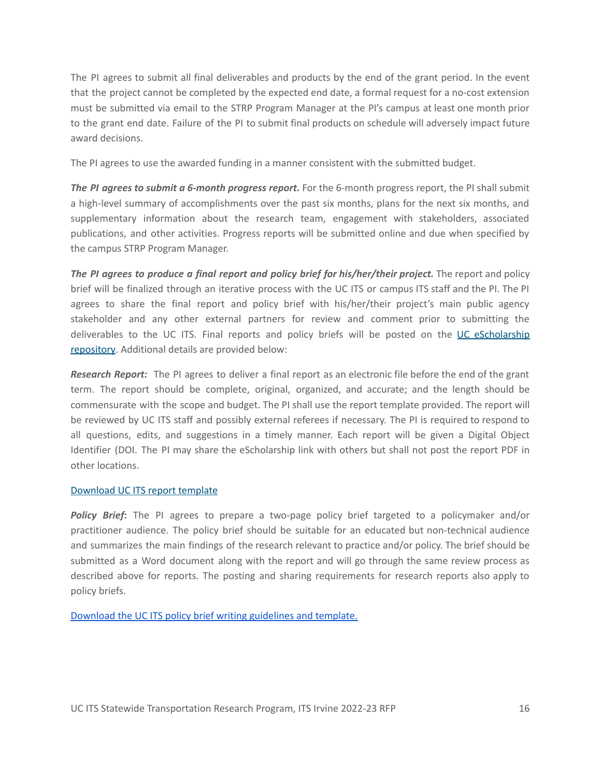The PI agrees to submit all final deliverables and products by the end of the grant period. In the event that the project cannot be completed by the expected end date, a formal request for a no-cost extension must be submitted via email to the STRP Program Manager at the PI's campus at least one month prior to the grant end date. Failure of the PI to submit final products on schedule will adversely impact future award decisions.

The PI agrees to use the awarded funding in a manner consistent with the submitted budget.

*The PI agrees to submit a 6-month progress report.* For the 6-month progress report, the PI shall submit a high-level summary of accomplishments over the past six months, plans for the next six months, and supplementary information about the research team, engagement with stakeholders, associated publications, and other activities. Progress reports will be submitted online and due when specified by the campus STRP Program Manager.

*The PI agrees to produce a final report and policy brief for his/her/their project.* The report and policy brief will be finalized through an iterative process with the UC ITS or campus ITS staff and the PI. The PI agrees to share the final report and policy brief with his/her/their project's main public agency stakeholder and any other external partners for review and comment prior to submitting the deliverables to the UC ITS. Final reports and policy briefs will be posted on the UC [eScholarship](https://escholarship.org/uc/ucits) [repository.](https://escholarship.org/uc/ucits) Additional details are provided below:

*Research Report:* The PI agrees to deliver a final report as an electronic file before the end of the grant term. The report should be complete, original, organized, and accurate; and the length should be commensurate with the scope and budget. The PI shall use the report template provided. The report will be reviewed by UC ITS staff and possibly external referees if necessary. The PI is required to respond to all questions, edits, and suggestions in a timely manner. Each report will be given a Digital Object Identifier (DOI. The PI may share the eScholarship link with others but shall not post the report PDF in other locations.

#### [Download](https://drive.google.com/file/d/1Oj_HP--A-YW_R5BvVKFOfIJ1-gwjMMlZ/view?usp=sharing) UC ITS report template

*Policy Brief***:** The PI agrees to prepare a two-page policy brief targeted to a policymaker and/or practitioner audience. The policy brief should be suitable for an educated but non-technical audience and summarizes the main findings of the research relevant to practice and/or policy. The brief should be submitted as a Word document along with the report and will go through the same review process as described above for reports. The posting and sharing requirements for research reports also apply to policy briefs.

[Download](https://docs.google.com/document/d/1lyfwfV510cwAJi1L7Yh5IdQiMzf1_HL4/edit) the UC ITS policy brief writing guidelines and template.